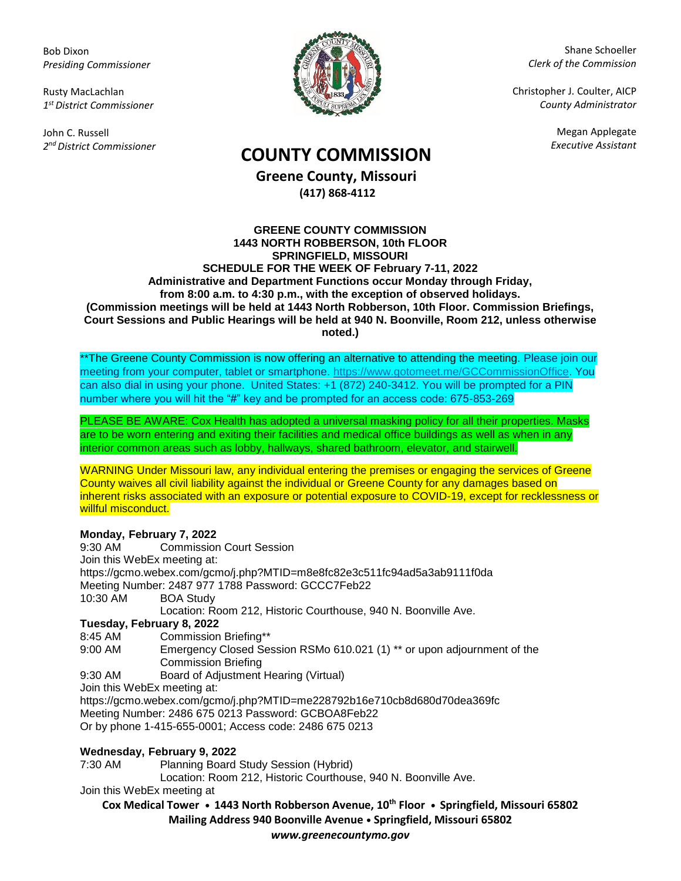Bob Dixon *Presiding Commissioner*

Rusty MacLachlan *1 st District Commissioner*

John C. Russell *2 nd District Commissioner*



Shane Schoeller *Clerk of the Commission*

Christopher J. Coulter, AICP *County Administrator*

Megan Applegate

# *Executive Assistant* **COUNTY COMMISSION**

**Greene County, Missouri (417) 868-4112**

#### **GREENE COUNTY COMMISSION 1443 NORTH ROBBERSON, 10th FLOOR SPRINGFIELD, MISSOURI SCHEDULE FOR THE WEEK OF February 7-11, 2022 Administrative and Department Functions occur Monday through Friday, from 8:00 a.m. to 4:30 p.m., with the exception of observed holidays. (Commission meetings will be held at 1443 North Robberson, 10th Floor. Commission Briefings, Court Sessions and Public Hearings will be held at 940 N. Boonville, Room 212, unless otherwise noted.)**

\*\*The Greene County Commission is now offering an alternative to attending the meeting. Please join our meeting from your computer, tablet or smartphone. [https://www.gotomeet.me/GCCommissionOffice.](https://www.gotomeet.me/GCCommissionOffice) You can also dial in using your phone. United States: +1 (872) 240-3412. You will be prompted for a PIN number where you will hit the "#" key and be prompted for an access code: 675-853-269

PLEASE BE AWARE: Cox Health has adopted a universal masking policy for all their properties. Masks are to be worn entering and exiting their facilities and medical office buildings as well as when in any interior common areas such as lobby, hallways, shared bathroom, elevator, and stairwell.

WARNING Under Missouri law, any individual entering the premises or engaging the services of Greene County waives all civil liability against the individual or Greene County for any damages based on inherent risks associated with an exposure or potential exposure to COVID-19, except for recklessness or willful misconduct.

## **Monday, February 7, 2022**

| 9:30 AM                                                                  | <b>Commission Court Session</b>                                          |
|--------------------------------------------------------------------------|--------------------------------------------------------------------------|
|                                                                          | Join this WebEx meeting at:                                              |
|                                                                          | https://gcmo.webex.com/gcmo/j.php?MTID=m8e8fc82e3c511fc94ad5a3ab9111f0da |
|                                                                          | Meeting Number: 2487 977 1788 Password: GCCC7Feb22                       |
| 10:30 AM                                                                 | <b>BOA Study</b>                                                         |
|                                                                          | Location: Room 212, Historic Courthouse, 940 N. Boonville Ave.           |
| Tuesday, February 8, 2022                                                |                                                                          |
| 8:45 AM                                                                  | <b>Commission Briefing**</b>                                             |
| 9:00 AM                                                                  | Emergency Closed Session RSMo 610.021 (1) ** or upon adjournment of the  |
|                                                                          | <b>Commission Briefing</b>                                               |
| 9:30 AM                                                                  | Board of Adjustment Hearing (Virtual)                                    |
| Join this WebEx meeting at:                                              |                                                                          |
| https://gcmo.webex.com/gcmo/j.php?MTID=me228792b16e710cb8d680d70dea369fc |                                                                          |
| Meeting Number: 2486 675 0213 Password: GCBOA8Feb22                      |                                                                          |
| Or by phone 1-415-655-0001; Access code: 2486 675 0213                   |                                                                          |
|                                                                          |                                                                          |

## **Wednesday, February 9, 2022**

7:30 AM Planning Board Study Session (Hybrid)

Location: Room 212, Historic Courthouse, 940 N. Boonville Ave.

Join this WebEx meeting at

**Cox Medical Tower • 1443 North Robberson Avenue, 10th Floor • Springfield, Missouri 65802 Mailing Address 940 Boonville Avenue • Springfield, Missouri 65802** *www.greenecountymo.gov*